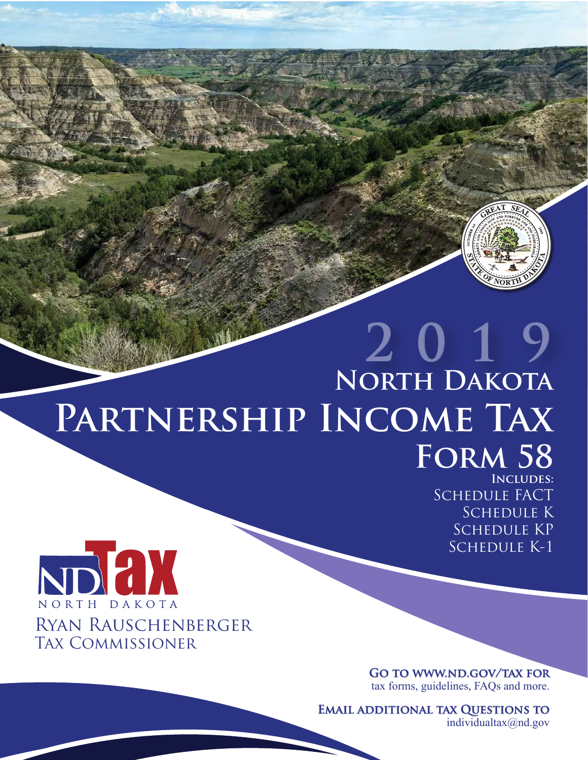# **2019 North Dakota Partnership Income Tax Form 58 Includes:**

Schedule FACT Schedule K SCHEDULE KP Schedule K-1



**Go to www.nd.gov/tax for** tax forms, guidelines, FAQs and more.

**Email additional tax Questions to**

individualtax@nd.gov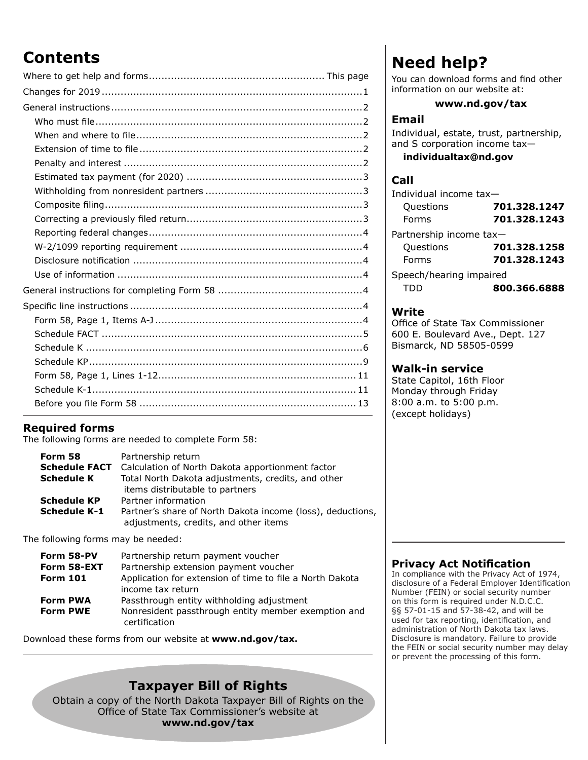# **Contents**

### **Required forms**

The following forms are needed to complete Form 58:

| Form 58              | Partnership return                                         |
|----------------------|------------------------------------------------------------|
| <b>Schedule FACT</b> | Calculation of North Dakota apportionment factor           |
| <b>Schedule K</b>    | Total North Dakota adjustments, credits, and other         |
|                      | items distributable to partners                            |
| <b>Schedule KP</b>   | Partner information                                        |
| <b>Schedule K-1</b>  | Partner's share of North Dakota income (loss), deductions, |
|                      | adjustments, credits, and other items                      |

The following forms may be needed:

| Form 58-PV      | Partnership return payment voucher                                   |
|-----------------|----------------------------------------------------------------------|
| Form 58-EXT     | Partnership extension payment voucher                                |
| <b>Form 101</b> | Application for extension of time to file a North Dakota             |
|                 | income tax return                                                    |
| <b>Form PWA</b> | Passthrough entity withholding adjustment                            |
| <b>Form PWE</b> | Nonresident passthrough entity member exemption and<br>certification |

Download these forms from our website at **www.nd.gov/tax.**

### **Taxpayer Bill of Rights**

Obtain a copy of the North Dakota Taxpayer Bill of Rights on the Office of State Tax Commissioner's website at **www.nd.gov/tax**

# **Need help?**

You can download forms and find other information on our website at:

#### **www.nd.gov/tax**

#### **Email**

Individual, estate, trust, partnership, and S corporation income tax **individualtax@nd.gov**

#### **Call**

| Individual income tax-  |              |
|-------------------------|--------------|
| Questions               | 701.328.1247 |
| Forms                   | 701.328.1243 |
| Partnership income tax- |              |
| Questions               | 701.328.1258 |
| Forms                   | 701.328.1243 |
| Speech/hearing impaired |              |
| TDD                     | 800.366.6888 |

#### **Write**

Office of State Tax Commissioner 600 E. Boulevard Ave., Dept. 127 Bismarck, ND 58505-0599

#### **Walk-in service**

State Capitol, 16th Floor Monday through Friday 8:00 a.m. to 5:00 p.m. (except holidays)

### **Privacy Act Notification**

In compliance with the Privacy Act of 1974, disclosure of a Federal Employer Identification Number (FEIN) or social security number on this form is required under N.D.C.C. §§ 57‑01-15 and 57-38-42, and will be used for tax reporting, identification, and administration of North Dakota tax laws. Disclosure is mandatory. Failure to provide the FEIN or social security number may delay or prevent the processing of this form.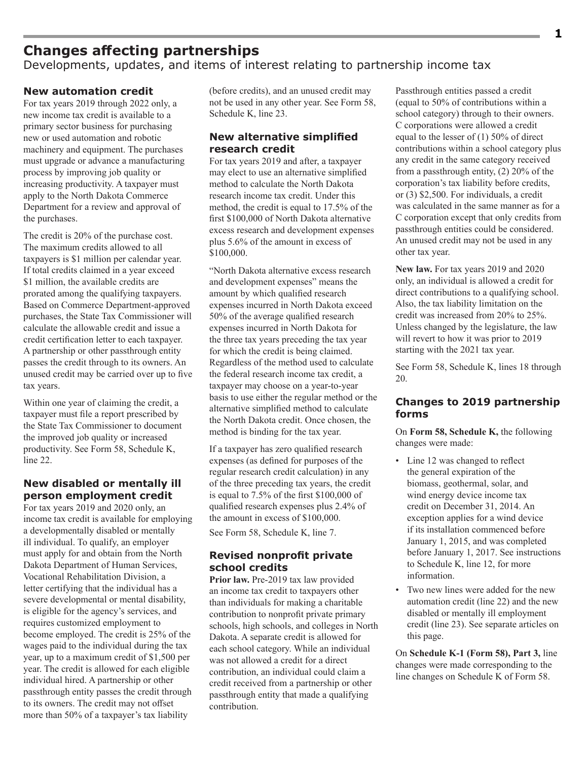# **Changes affecting partnerships**

Developments, updates, and items of interest relating to partnership income tax

#### **New automation credit**

For tax years 2019 through 2022 only, a new income tax credit is available to a primary sector business for purchasing new or used automation and robotic machinery and equipment. The purchases must upgrade or advance a manufacturing process by improving job quality or increasing productivity. A taxpayer must apply to the North Dakota Commerce Department for a review and approval of the purchases.

The credit is 20% of the purchase cost. The maximum credits allowed to all taxpayers is \$1 million per calendar year. If total credits claimed in a year exceed \$1 million, the available credits are prorated among the qualifying taxpayers. Based on Commerce Department-approved purchases, the State Tax Commissioner will calculate the allowable credit and issue a credit certification letter to each taxpayer. A partnership or other passthrough entity passes the credit through to its owners. An unused credit may be carried over up to five tax years.

Within one year of claiming the credit, a taxpayer must file a report prescribed by the State Tax Commissioner to document the improved job quality or increased productivity. See Form 58, Schedule K, line 22.

#### **New disabled or mentally ill person employment credit**

For tax years 2019 and 2020 only, an income tax credit is available for employing a developmentally disabled or mentally ill individual. To qualify, an employer must apply for and obtain from the North Dakota Department of Human Services, Vocational Rehabilitation Division, a letter certifying that the individual has a severe developmental or mental disability, is eligible for the agency's services, and requires customized employment to become employed. The credit is 25% of the wages paid to the individual during the tax year, up to a maximum credit of \$1,500 per year. The credit is allowed for each eligible individual hired. A partnership or other passthrough entity passes the credit through to its owners. The credit may not offset more than 50% of a taxpayer's tax liability

(before credits), and an unused credit may not be used in any other year. See Form 58, Schedule K, line 23.

#### **New alternative simplified research credit**

For tax years 2019 and after, a taxpayer may elect to use an alternative simplified method to calculate the North Dakota research income tax credit. Under this method, the credit is equal to 17.5% of the first \$100,000 of North Dakota alternative excess research and development expenses plus 5.6% of the amount in excess of \$100,000.

"North Dakota alternative excess research and development expenses" means the amount by which qualified research expenses incurred in North Dakota exceed 50% of the average qualified research expenses incurred in North Dakota for the three tax years preceding the tax year for which the credit is being claimed. Regardless of the method used to calculate the federal research income tax credit, a taxpayer may choose on a year-to-year basis to use either the regular method or the alternative simplified method to calculate the North Dakota credit. Once chosen, the method is binding for the tax year.

If a taxpayer has zero qualified research expenses (as defined for purposes of the regular research credit calculation) in any of the three preceding tax years, the credit is equal to 7.5% of the first \$100,000 of qualified research expenses plus 2.4% of the amount in excess of \$100,000.

See Form 58, Schedule K, line 7.

#### **Revised nonprofit private school credits**

**Prior law.** Pre-2019 tax law provided an income tax credit to taxpayers other than individuals for making a charitable contribution to nonprofit private primary schools, high schools, and colleges in North Dakota. A separate credit is allowed for each school category. While an individual was not allowed a credit for a direct contribution, an individual could claim a credit received from a partnership or other passthrough entity that made a qualifying contribution.

Passthrough entities passed a credit (equal to 50% of contributions within a school category) through to their owners. C corporations were allowed a credit equal to the lesser of (1) 50% of direct contributions within a school category plus any credit in the same category received from a passthrough entity, (2) 20% of the corporation's tax liability before credits, or (3) \$2,500. For individuals, a credit was calculated in the same manner as for a C corporation except that only credits from passthrough entities could be considered. An unused credit may not be used in any other tax year.

**New law.** For tax years 2019 and 2020 only, an individual is allowed a credit for direct contributions to a qualifying school. Also, the tax liability limitation on the credit was increased from 20% to 25%. Unless changed by the legislature, the law will revert to how it was prior to 2019 starting with the 2021 tax year.

See Form 58, Schedule K, lines 18 through 20.

#### **Changes to 2019 partnership forms**

On **Form 58, Schedule K,** the following changes were made:

- Line 12 was changed to reflect the general expiration of the biomass, geothermal, solar, and wind energy device income tax credit on December 31, 2014. An exception applies for a wind device if its installation commenced before January 1, 2015, and was completed before January 1, 2017. See instructions to Schedule K, line 12, for more information.
- Two new lines were added for the new automation credit (line 22) and the new disabled or mentally ill employment credit (line 23). See separate articles on this page.

On **Schedule K-1 (Form 58), Part 3,** line changes were made corresponding to the line changes on Schedule K of Form 58.

**1**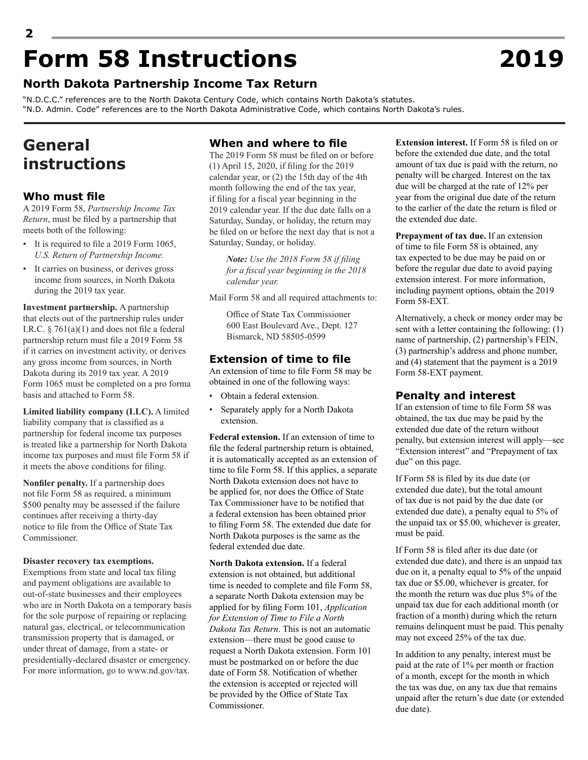# **2 Form 58 Instructions 2019**

### **North Dakota Partnership Income Tax Return**

"N.D.C.C." references are to the North Dakota Century Code, which contains North Dakota's statutes. "N.D. Admin. Code" references are to the North Dakota Administrative Code, which contains North Dakota's rules.

# **General instructions**

#### **Who must file**

A 2019 Form 58, *Partnership Income Tax Return*, must be filed by a partnership that meets both of the following:

- It is required to file a 2019 Form 1065, *U.S. Return of Partnership Income.*
- It carries on business, or derives gross income from sources, in North Dakota during the 2019 tax year.

**Investment partnership.** A partnership that elects out of the partnership rules under I.R.C.  $\frac{5}{6}$  761(a)(1) and does not file a federal partnership return must file a 2019 Form 58 if it carries on investment activity, or derives any gross income from sources, in North Dakota during its 2019 tax year. A 2019 Form 1065 must be completed on a pro forma basis and attached to Form 58.

**Limited liability company (LLC).** A limited liability company that is classified as a partnership for federal income tax purposes is treated like a partnership for North Dakota income tax purposes and must file Form 58 if it meets the above conditions for filing.

**Nonfiler penalty.** If a partnership does not file Form 58 as required, a minimum \$500 penalty may be assessed if the failure continues after receiving a thirty-day notice to file from the Office of State Tax Commissioner.

#### **Disaster recovery tax exemptions.**

Exemptions from state and local tax filing and payment obligations are available to out-of-state businesses and their employees who are in North Dakota on a temporary basis for the sole purpose of repairing or replacing natural gas, electrical, or telecommunication transmission property that is damaged, or under threat of damage, from a state- or presidentially-declared disaster or emergency. For more information, go to www.nd.gov/tax.

#### **When and where to file**

The 2019 Form 58 must be filed on or before (1) April 15, 2020, if filing for the 2019 calendar year, or (2) the 15th day of the 4th month following the end of the tax year, if filing for a fiscal year beginning in the 2019 calendar year. If the due date falls on a Saturday, Sunday, or holiday, the return may be filed on or before the next day that is not a Saturday, Sunday, or holiday.

*Note: Use the 2018 Form 58 if filing for a fiscal year beginning in the 2018 calendar year.*

Mail Form 58 and all required attachments to:

Office of State Tax Commissioner 600 East Boulevard Ave., Dept. 127 Bismarck, ND 58505-0599

#### **Extension of time to file**

An extension of time to file Form 58 may be obtained in one of the following ways:

- Obtain a federal extension.
- Separately apply for a North Dakota extension.

**Federal extension.** If an extension of time to file the federal partnership return is obtained, it is automatically accepted as an extension of time to file Form 58. If this applies, a separate North Dakota extension does not have to be applied for, nor does the Office of State Tax Commissioner have to be notified that a federal extension has been obtained prior to filing Form 58. The extended due date for North Dakota purposes is the same as the federal extended due date.

**North Dakota extension.** If a federal extension is not obtained, but additional time is needed to complete and file Form 58, a separate North Dakota extension may be applied for by filing Form 101, *Application for Extension of Time to File a North Dakota Tax Return*. This is not an automatic extension—there must be good cause to request a North Dakota extension. Form 101 must be postmarked on or before the due date of Form 58. Notification of whether the extension is accepted or rejected will be provided by the Office of State Tax Commissioner.

**Extension interest.** If Form 58 is filed on or before the extended due date, and the total amount of tax due is paid with the return, no penalty will be charged. Interest on the tax due will be charged at the rate of 12% per year from the original due date of the return to the earlier of the date the return is filed or the extended due date.

**Prepayment of tax due.** If an extension of time to file Form 58 is obtained, any tax expected to be due may be paid on or before the regular due date to avoid paying extension interest. For more information, including payment options, obtain the 2019 Form 58-EXT.

Alternatively, a check or money order may be sent with a letter containing the following: (1) name of partnership, (2) partnership's FEIN, (3) partnership's address and phone number, and (4) statement that the payment is a 2019 Form 58-EXT payment.

#### **Penalty and interest**

If an extension of time to file Form 58 was obtained, the tax due may be paid by the extended due date of the return without penalty, but extension interest will apply—see "Extension interest" and "Prepayment of tax due" on this page.

If Form 58 is filed by its due date (or extended due date), but the total amount of tax due is not paid by the due date (or extended due date), a penalty equal to 5% of the unpaid tax or \$5.00, whichever is greater, must be paid.

If Form 58 is filed after its due date (or extended due date), and there is an unpaid tax due on it, a penalty equal to 5% of the unpaid tax due or \$5.00, whichever is greater, for the month the return was due plus 5% of the unpaid tax due for each additional month (or fraction of a month) during which the return remains delinquent must be paid. This penalty may not exceed 25% of the tax due.

In addition to any penalty, interest must be paid at the rate of 1% per month or fraction of a month, except for the month in which the tax was due, on any tax due that remains unpaid after the return's due date (or extended due date).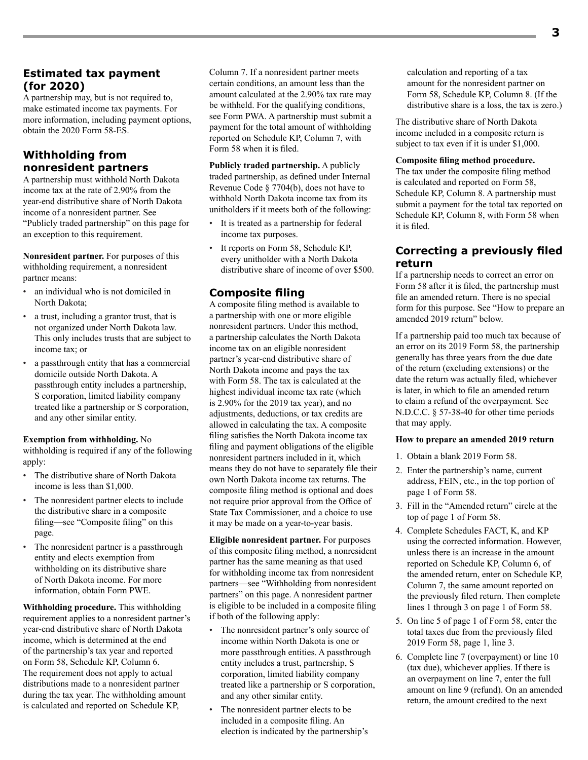#### **Estimated tax payment (for 2020)**

A partnership may, but is not required to, make estimated income tax payments. For more information, including payment options, obtain the 2020 Form 58-ES.

#### **Withholding from nonresident partners**

A partnership must withhold North Dakota income tax at the rate of 2.90% from the year-end distributive share of North Dakota income of a nonresident partner. See "Publicly traded partnership" on this page for an exception to this requirement.

**Nonresident partner.** For purposes of this withholding requirement, a nonresident partner means:

- an individual who is not domiciled in North Dakota;
- a trust, including a grantor trust, that is not organized under North Dakota law. This only includes trusts that are subject to income tax; or
- a passthrough entity that has a commercial domicile outside North Dakota. A passthrough entity includes a partnership, S corporation, limited liability company treated like a partnership or S corporation, and any other similar entity.

#### **Exemption from withholding.** No

withholding is required if any of the following apply:

- The distributive share of North Dakota income is less than \$1,000.
- The nonresident partner elects to include the distributive share in a composite filing—see "Composite filing" on this page.
- The nonresident partner is a passthrough entity and elects exemption from withholding on its distributive share of North Dakota income. For more information, obtain Form PWE.

**Withholding procedure.** This withholding requirement applies to a nonresident partner's year-end distributive share of North Dakota income, which is determined at the end of the partnership's tax year and reported on Form 58, Schedule KP, Column 6. The requirement does not apply to actual distributions made to a nonresident partner during the tax year. The withholding amount is calculated and reported on Schedule KP,

Column 7. If a nonresident partner meets certain conditions, an amount less than the amount calculated at the 2.90% tax rate may be withheld. For the qualifying conditions, see Form PWA. A partnership must submit a payment for the total amount of withholding reported on Schedule KP, Column 7, with Form 58 when it is filed.

**Publicly traded partnership.** A publicly traded partnership, as defined under Internal Revenue Code § 7704(b), does not have to withhold North Dakota income tax from its unitholders if it meets both of the following:

- It is treated as a partnership for federal income tax purposes.
- It reports on Form 58, Schedule KP, every unitholder with a North Dakota distributive share of income of over \$500.

#### **Composite filing**

A composite filing method is available to a partnership with one or more eligible nonresident partners. Under this method, a partnership calculates the North Dakota income tax on an eligible nonresident partner's year-end distributive share of North Dakota income and pays the tax with Form 58. The tax is calculated at the highest individual income tax rate (which is 2.90% for the 2019 tax year), and no adjustments, deductions, or tax credits are allowed in calculating the tax. A composite filing satisfies the North Dakota income tax filing and payment obligations of the eligible nonresident partners included in it, which means they do not have to separately file their own North Dakota income tax returns. The composite filing method is optional and does not require prior approval from the Office of State Tax Commissioner, and a choice to use it may be made on a year-to-year basis.

**Eligible nonresident partner.** For purposes of this composite filing method, a nonresident partner has the same meaning as that used for withholding income tax from nonresident partners—see "Withholding from nonresident partners" on this page. A nonresident partner is eligible to be included in a composite filing if both of the following apply:

- The nonresident partner's only source of income within North Dakota is one or more passthrough entities. A passthrough entity includes a trust, partnership, S corporation, limited liability company treated like a partnership or S corporation, and any other similar entity.
- The nonresident partner elects to be included in a composite filing. An election is indicated by the partnership's

calculation and reporting of a tax amount for the nonresident partner on Form 58, Schedule KP, Column 8. (If the distributive share is a loss, the tax is zero.)

The distributive share of North Dakota income included in a composite return is subject to tax even if it is under \$1,000.

#### **Composite filing method procedure.**

The tax under the composite filing method is calculated and reported on Form 58, Schedule KP, Column 8. A partnership must submit a payment for the total tax reported on Schedule KP, Column 8, with Form 58 when it is filed.

#### **Correcting a previously filed return**

If a partnership needs to correct an error on Form 58 after it is filed, the partnership must file an amended return. There is no special form for this purpose. See "How to prepare an amended 2019 return" below.

If a partnership paid too much tax because of an error on its 2019 Form 58, the partnership generally has three years from the due date of the return (excluding extensions) or the date the return was actually filed, whichever is later, in which to file an amended return to claim a refund of the overpayment. See N.D.C.C. § 57-38-40 for other time periods that may apply.

#### **How to prepare an amended 2019 return**

- 1. Obtain a blank 2019 Form 58.
- 2. Enter the partnership's name, current address, FEIN, etc., in the top portion of page 1 of Form 58.
- 3. Fill in the "Amended return" circle at the top of page 1 of Form 58.
- 4. Complete Schedules FACT, K, and KP using the corrected information. However, unless there is an increase in the amount reported on Schedule KP, Column 6, of the amended return, enter on Schedule KP, Column 7, the same amount reported on the previously filed return. Then complete lines 1 through 3 on page 1 of Form 58.
- 5. On line 5 of page 1 of Form 58, enter the total taxes due from the previously filed 2019 Form 58, page 1, line 3.
- 6. Complete line 7 (overpayment) or line 10 (tax due), whichever applies. If there is an overpayment on line 7, enter the full amount on line 9 (refund). On an amended return, the amount credited to the next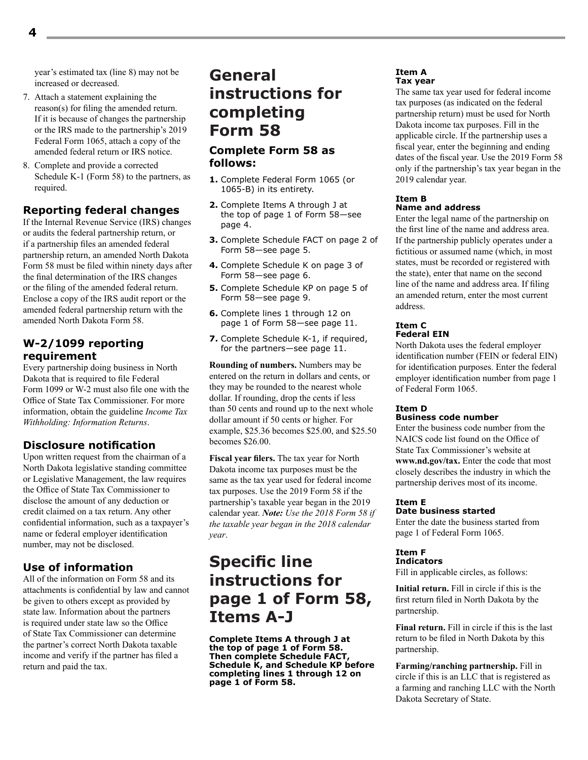year's estimated tax (line 8) may not be increased or decreased.

- 7. Attach a statement explaining the reason(s) for filing the amended return. If it is because of changes the partnership or the IRS made to the partnership's 2019 Federal Form 1065, attach a copy of the amended federal return or IRS notice.
- 8. Complete and provide a corrected Schedule K-1 (Form 58) to the partners, as required.

#### **Reporting federal changes**

If the Internal Revenue Service (IRS) changes or audits the federal partnership return, or if a partnership files an amended federal partnership return, an amended North Dakota Form 58 must be filed within ninety days after the final determination of the IRS changes or the filing of the amended federal return. Enclose a copy of the IRS audit report or the amended federal partnership return with the amended North Dakota Form 58.

#### **W-2/1099 reporting requirement**

Every partnership doing business in North Dakota that is required to file Federal Form 1099 or W-2 must also file one with the Office of State Tax Commissioner. For more information, obtain the guideline *Income Tax Withholding: Information Returns*.

#### **Disclosure notification**

Upon written request from the chairman of a North Dakota legislative standing committee or Legislative Management, the law requires the Office of State Tax Commissioner to disclose the amount of any deduction or credit claimed on a tax return. Any other confidential information, such as a taxpayer's name or federal employer identification number, may not be disclosed.

#### **Use of information**

All of the information on Form 58 and its attachments is confidential by law and cannot be given to others except as provided by state law. Information about the partners is required under state law so the Office of State Tax Commissioner can determine the partner's correct North Dakota taxable income and verify if the partner has filed a return and paid the tax.

# **General instructions for completing Form 58**

#### **Complete Form 58 as follows:**

- **1.** Complete Federal Form 1065 (or 1065-B) in its entirety.
- **2.** Complete Items A through J at the top of page 1 of Form 58—see page 4.
- **3.** Complete Schedule FACT on page 2 of Form 58—see page 5.
- **4.** Complete Schedule K on page 3 of Form 58—see page 6.
- **5.** Complete Schedule KP on page 5 of Form 58—see page 9.
- **6.** Complete lines 1 through 12 on page 1 of Form 58—see page 11.
- **7.** Complete Schedule K-1, if required, for the partners—see page 11.

**Rounding of numbers.** Numbers may be entered on the return in dollars and cents, or they may be rounded to the nearest whole dollar. If rounding, drop the cents if less than 50 cents and round up to the next whole dollar amount if 50 cents or higher. For example, \$25.36 becomes \$25.00, and \$25.50 becomes \$26.00.

**Fiscal year filers.** The tax year for North Dakota income tax purposes must be the same as the tax year used for federal income tax purposes. Use the 2019 Form 58 if the partnership's taxable year began in the 2019 calendar year. *Note: Use the 2018 Form 58 if the taxable year began in the 2018 calendar year*.

# **Specific line instructions for page 1 of Form 58, Items A-J**

**Complete Items A through J at the top of page 1 of Form 58. Then complete Schedule FACT, Schedule K, and Schedule KP before completing lines 1 through 12 on page 1 of Form 58.** 

#### **Item A Tax year**

The same tax year used for federal income tax purposes (as indicated on the federal partnership return) must be used for North Dakota income tax purposes. Fill in the applicable circle. If the partnership uses a fiscal year, enter the beginning and ending dates of the fiscal year. Use the 2019 Form 58 only if the partnership's tax year began in the 2019 calendar year.

#### **Item B Name and address**

Enter the legal name of the partnership on the first line of the name and address area. If the partnership publicly operates under a fictitious or assumed name (which, in most states, must be recorded or registered with the state), enter that name on the second line of the name and address area. If filing an amended return, enter the most current address.

#### **Item C Federal EIN**

North Dakota uses the federal employer identification number (FEIN or federal EIN) for identification purposes. Enter the federal employer identification number from page 1 of Federal Form 1065.

#### **Item D Business code number**

Enter the business code number from the NAICS code list found on the Office of State Tax Commissioner's website at **www.nd.gov/tax.** Enter the code that most closely describes the industry in which the partnership derives most of its income.

#### **Item E Date business started**

Enter the date the business started from page 1 of Federal Form 1065.

#### **Item F Indicators**

Fill in applicable circles, as follows:

**Initial return.** Fill in circle if this is the first return filed in North Dakota by the partnership.

**Final return.** Fill in circle if this is the last return to be filed in North Dakota by this partnership.

**Farming/ranching partnership.** Fill in circle if this is an LLC that is registered as a farming and ranching LLC with the North Dakota Secretary of State.

**4**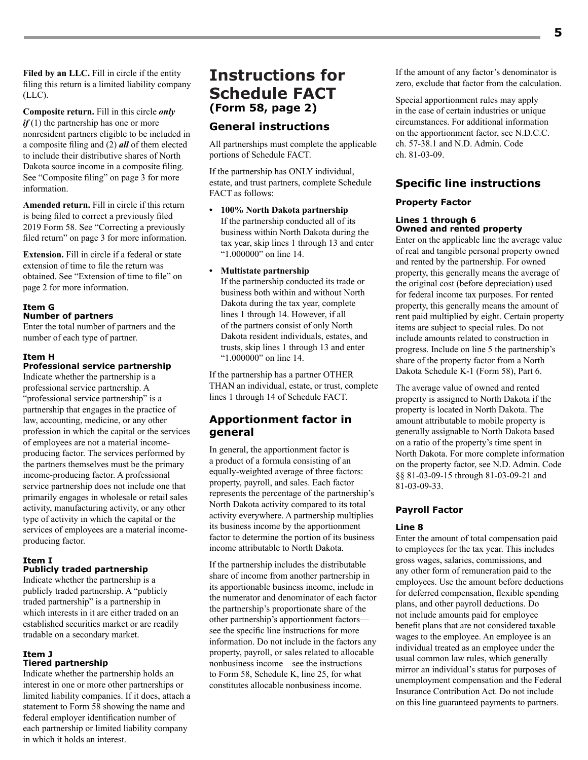**Filed by an LLC.** Fill in circle if the entity filing this return is a limited liability company (LLC).

**Composite return.** Fill in this circle *only if* (1) the partnership has one or more nonresident partners eligible to be included in a composite filing and (2) *all* of them elected to include their distributive shares of North Dakota source income in a composite filing. See "Composite filing" on page 3 for more information.

**Amended return.** Fill in circle if this return is being filed to correct a previously filed 2019 Form 58. See "Correcting a previously filed return" on page 3 for more information.

**Extension.** Fill in circle if a federal or state extension of time to file the return was obtained. See "Extension of time to file" on page 2 for more information.

#### **Item G**

#### **Number of partners**

Enter the total number of partners and the number of each type of partner.

#### **Item H**

#### **Professional service partnership**

Indicate whether the partnership is a professional service partnership. A "professional service partnership" is a partnership that engages in the practice of law, accounting, medicine, or any other profession in which the capital or the services of employees are not a material incomeproducing factor. The services performed by the partners themselves must be the primary income-producing factor. A professional service partnership does not include one that primarily engages in wholesale or retail sales activity, manufacturing activity, or any other type of activity in which the capital or the services of employees are a material incomeproducing factor.

#### **Item I**

#### **Publicly traded partnership**

Indicate whether the partnership is a publicly traded partnership. A "publicly traded partnership" is a partnership in which interests in it are either traded on an established securities market or are readily tradable on a secondary market.

#### **Item J Tiered partnership**

Indicate whether the partnership holds an interest in one or more other partnerships or limited liability companies. If it does, attach a statement to Form 58 showing the name and federal employer identification number of each partnership or limited liability company in which it holds an interest.

# **Instructions for Schedule FACT (Form 58, page 2)**

#### **General instructions**

All partnerships must complete the applicable portions of Schedule FACT.

If the partnership has ONLY individual, estate, and trust partners, complete Schedule FACT as follows:

**• 100% North Dakota partnership** If the partnership conducted all of its business within North Dakota during the tax year, skip lines 1 through 13 and enter "1.000000" on line 14.

#### **• Multistate partnership**

If the partnership conducted its trade or business both within and without North Dakota during the tax year, complete lines 1 through 14. However, if all of the partners consist of only North Dakota resident individuals, estates, and trusts, skip lines 1 through 13 and enter "1.000000" on line 14.

If the partnership has a partner OTHER THAN an individual, estate, or trust, complete lines 1 through 14 of Schedule FACT.

#### **Apportionment factor in general**

In general, the apportionment factor is a product of a formula consisting of an equally-weighted average of three factors: property, payroll, and sales. Each factor represents the percentage of the partnership's North Dakota activity compared to its total activity everywhere. A partnership multiplies its business income by the apportionment factor to determine the portion of its business income attributable to North Dakota.

If the partnership includes the distributable share of income from another partnership in its apportionable business income, include in the numerator and denominator of each factor the partnership's proportionate share of the other partnership's apportionment factors see the specific line instructions for more information. Do not include in the factors any property, payroll, or sales related to allocable nonbusiness income—see the instructions to Form 58, Schedule K, line 25, for what constitutes allocable nonbusiness income.

If the amount of any factor's denominator is zero, exclude that factor from the calculation.

Special apportionment rules may apply in the case of certain industries or unique circumstances. For additional information on the apportionment factor, see N.D.C.C. ch. 57-38.1 and N.D. Admin. Code ch. 81-03-09.

#### **Specific line instructions**

#### **Property Factor**

#### **Lines 1 through 6 Owned and rented property**

Enter on the applicable line the average value of real and tangible personal property owned and rented by the partnership. For owned property, this generally means the average of the original cost (before depreciation) used for federal income tax purposes. For rented property, this generally means the amount of rent paid multiplied by eight. Certain property items are subject to special rules. Do not include amounts related to construction in progress. Include on line 5 the partnership's share of the property factor from a North Dakota Schedule K-1 (Form 58), Part 6.

The average value of owned and rented property is assigned to North Dakota if the property is located in North Dakota. The amount attributable to mobile property is generally assignable to North Dakota based on a ratio of the property's time spent in North Dakota. For more complete information on the property factor, see N.D. Admin. Code §§ 81-03-09-15 through 81-03-09-21 and 81-03-09-33.

#### **Payroll Factor**

#### **Line 8**

Enter the amount of total compensation paid to employees for the tax year. This includes gross wages, salaries, commissions, and any other form of remuneration paid to the employees. Use the amount before deductions for deferred compensation, flexible spending plans, and other payroll deductions. Do not include amounts paid for employee benefit plans that are not considered taxable wages to the employee. An employee is an individual treated as an employee under the usual common law rules, which generally mirror an individual's status for purposes of unemployment compensation and the Federal Insurance Contribution Act. Do not include on this line guaranteed payments to partners.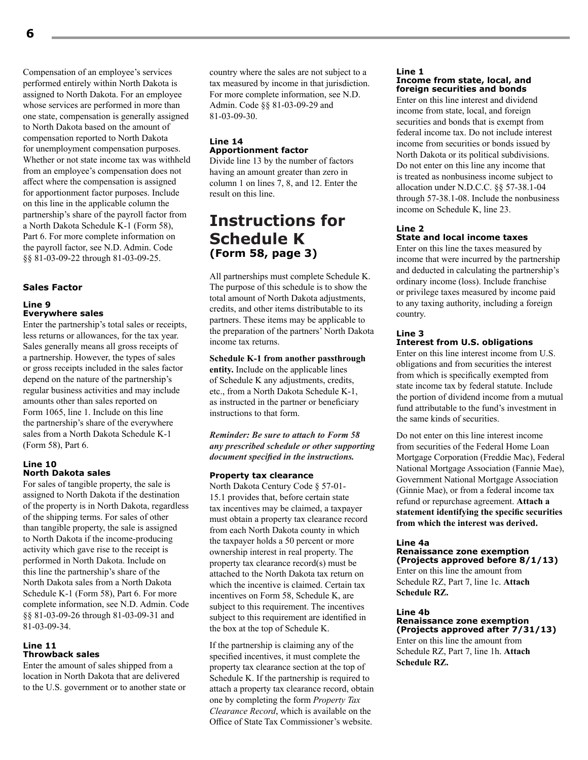Compensation of an employee's services performed entirely within North Dakota is assigned to North Dakota. For an employee whose services are performed in more than one state, compensation is generally assigned to North Dakota based on the amount of compensation reported to North Dakota for unemployment compensation purposes. Whether or not state income tax was withheld from an employee's compensation does not affect where the compensation is assigned for apportionment factor purposes. Include on this line in the applicable column the partnership's share of the payroll factor from a North Dakota Schedule K-1 (Form 58), Part 6. For more complete information on the payroll factor, see N.D. Admin. Code §§ 81-03-09-22 through 81-03-09-25.

#### **Sales Factor**

#### **Line 9 Everywhere sales**

Enter the partnership's total sales or receipts, less returns or allowances, for the tax year. Sales generally means all gross receipts of a partnership. However, the types of sales or gross receipts included in the sales factor depend on the nature of the partnership's regular business activities and may include amounts other than sales reported on Form 1065, line 1. Include on this line the partnership's share of the everywhere sales from a North Dakota Schedule K-1 (Form 58), Part 6.

#### **Line 10 North Dakota sales**

For sales of tangible property, the sale is assigned to North Dakota if the destination of the property is in North Dakota, regardless of the shipping terms. For sales of other than tangible property, the sale is assigned to North Dakota if the income-producing activity which gave rise to the receipt is performed in North Dakota. Include on this line the partnership's share of the North Dakota sales from a North Dakota Schedule K-1 (Form 58), Part 6. For more complete information, see N.D. Admin. Code §§ 81-03-09-26 through 81-03-09-31 and 81-03-09-34.

#### **Line 11 Throwback sales**

Enter the amount of sales shipped from a location in North Dakota that are delivered to the U.S. government or to another state or country where the sales are not subject to a tax measured by income in that jurisdiction. For more complete information, see N.D. Admin. Code §§ 81-03-09-29 and 81-03-09-30.

#### **Line 14 Apportionment factor**

Divide line 13 by the number of factors having an amount greater than zero in column 1 on lines 7, 8, and 12. Enter the result on this line.

# **Instructions for Schedule K (Form 58, page 3)**

All partnerships must complete Schedule K. The purpose of this schedule is to show the total amount of North Dakota adjustments, credits, and other items distributable to its partners. These items may be applicable to the preparation of the partners' North Dakota income tax returns.

#### **Schedule K-1 from another passthrough**

**entity.** Include on the applicable lines of Schedule K any adjustments, credits, etc., from a North Dakota Schedule K-1, as instructed in the partner or beneficiary instructions to that form.

*Reminder: Be sure to attach to Form 58 any prescribed schedule or other supporting document specified in the instructions.*

#### **Property tax clearance**

North Dakota Century Code § 57-01- 15.1 provides that, before certain state tax incentives may be claimed, a taxpayer must obtain a property tax clearance record from each North Dakota county in which the taxpayer holds a 50 percent or more ownership interest in real property. The property tax clearance record(s) must be attached to the North Dakota tax return on which the incentive is claimed. Certain tax incentives on Form 58, Schedule K, are subject to this requirement. The incentives subject to this requirement are identified in the box at the top of Schedule K.

If the partnership is claiming any of the specified incentives, it must complete the property tax clearance section at the top of Schedule K. If the partnership is required to attach a property tax clearance record, obtain one by completing the form *Property Tax Clearance Record*, which is available on the Office of State Tax Commissioner's website.

#### **Line 1 Income from state, local, and foreign securities and bonds**

Enter on this line interest and dividend income from state, local, and foreign securities and bonds that is exempt from federal income tax. Do not include interest income from securities or bonds issued by North Dakota or its political subdivisions. Do not enter on this line any income that is treated as nonbusiness income subject to allocation under N.D.C.C. §§ 57‑38.1‑04 through 57-38.1-08. Include the nonbusiness income on Schedule K, line 23.

#### **Line 2 State and local income taxes**

Enter on this line the taxes measured by income that were incurred by the partnership and deducted in calculating the partnership's ordinary income (loss). Include franchise or privilege taxes measured by income paid to any taxing authority, including a foreign country.

#### **Line 3**

#### **Interest from U.S. obligations**

Enter on this line interest income from U.S. obligations and from securities the interest from which is specifically exempted from state income tax by federal statute. Include the portion of dividend income from a mutual fund attributable to the fund's investment in the same kinds of securities.

Do not enter on this line interest income from securities of the Federal Home Loan Mortgage Corporation (Freddie Mac), Federal National Mortgage Association (Fannie Mae), Government National Mortgage Association (Ginnie Mae), or from a federal income tax refund or repurchase agreement. **Attach a statement identifying the specific securities from which the interest was derived.**

#### **Line 4a**

#### **Renaissance zone exemption (Projects approved before 8/1/13)**

Enter on this line the amount from Schedule RZ, Part 7, line 1c. **Attach Schedule RZ.**

#### **Line 4b Renaissance zone exemption (Projects approved after 7/31/13)**

Enter on this line the amount from Schedule RZ, Part 7, line 1h. **Attach Schedule RZ.**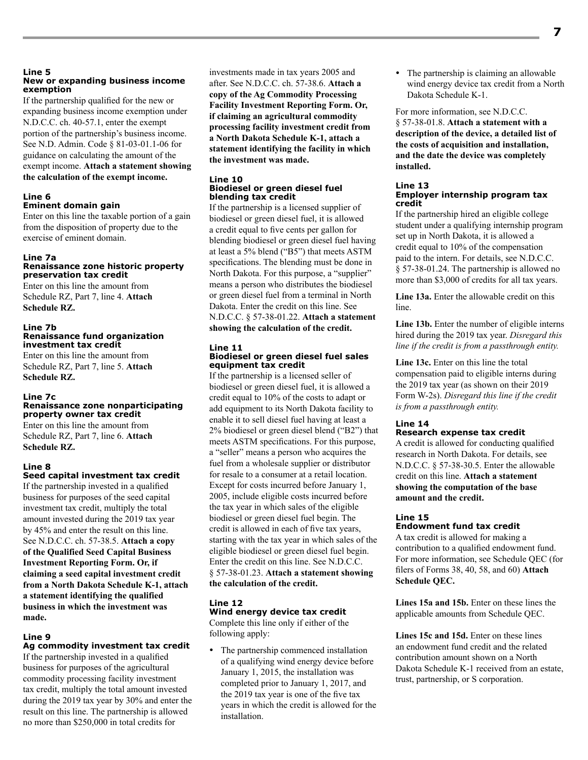#### **Line 5 New or expanding business income exemption**

If the partnership qualified for the new or expanding business income exemption under N.D.C.C. ch. 40-57.1, enter the exempt portion of the partnership's business income. See N.D. Admin. Code § 81-03-01.1-06 for guidance on calculating the amount of the exempt income. **Attach a statement showing the calculation of the exempt income.**

#### **Line 6 Eminent domain gain**

Enter on this line the taxable portion of a gain from the disposition of property due to the exercise of eminent domain.

### **Line 7a**

#### **Renaissance zone historic property preservation tax credit**

Enter on this line the amount from Schedule RZ, Part 7, line 4. **Attach Schedule RZ.**

#### **Line 7b Renaissance fund organization investment tax credit**

Enter on this line the amount from Schedule RZ, Part 7, line 5. **Attach Schedule RZ.**

#### **Line 7c**

#### **Renaissance zone nonparticipating property owner tax credit**

Enter on this line the amount from Schedule RZ, Part 7, line 6. **Attach Schedule RZ.**

#### **Line 8**

#### **Seed capital investment tax credit**

If the partnership invested in a qualified business for purposes of the seed capital investment tax credit, multiply the total amount invested during the 2019 tax year by 45% and enter the result on this line. See N.D.C.C. ch. 57-38.5. **Attach a copy of the Qualified Seed Capital Business Investment Reporting Form. Or, if claiming a seed capital investment credit from a North Dakota Schedule K-1, attach a statement identifying the qualified business in which the investment was made.**

#### **Line 9**

#### **Ag commodity investment tax credit**

If the partnership invested in a qualified business for purposes of the agricultural commodity processing facility investment tax credit, multiply the total amount invested during the 2019 tax year by 30% and enter the result on this line. The partnership is allowed no more than \$250,000 in total credits for

investments made in tax years 2005 and after. See N.D.C.C. ch. 57-38.6. **Attach a copy of the Ag Commodity Processing Facility Investment Reporting Form. Or, if claiming an agricultural commodity processing facility investment credit from a North Dakota Schedule K-1, attach a statement identifying the facility in which the investment was made.**

#### **Line 10 Biodiesel or green diesel fuel blending tax credit**

If the partnership is a licensed supplier of biodiesel or green diesel fuel, it is allowed a credit equal to five cents per gallon for blending biodiesel or green diesel fuel having at least a 5% blend ("B5") that meets ASTM specifications. The blending must be done in North Dakota. For this purpose, a "supplier" means a person who distributes the biodiesel or green diesel fuel from a terminal in North Dakota. Enter the credit on this line. See N.D.C.C. § 57-38-01.22. **Attach a statement showing the calculation of the credit.**

#### **Line 11 Biodiesel or green diesel fuel sales equipment tax credit**

If the partnership is a licensed seller of biodiesel or green diesel fuel, it is allowed a credit equal to 10% of the costs to adapt or add equipment to its North Dakota facility to enable it to sell diesel fuel having at least a 2% biodiesel or green diesel blend ("B2") that meets ASTM specifications. For this purpose, a "seller" means a person who acquires the fuel from a wholesale supplier or distributor for resale to a consumer at a retail location. Except for costs incurred before January 1, 2005, include eligible costs incurred before the tax year in which sales of the eligible biodiesel or green diesel fuel begin. The credit is allowed in each of five tax years, starting with the tax year in which sales of the eligible biodiesel or green diesel fuel begin. Enter the credit on this line. See N.D.C.C. § 57-38-01.23. **Attach a statement showing the calculation of the credit.**

#### **Line 12**

**Wind energy device tax credit** Complete this line only if either of the following apply:

• The partnership commenced installation of a qualifying wind energy device before January 1, 2015, the installation was completed prior to January 1, 2017, and the 2019 tax year is one of the five tax years in which the credit is allowed for the installation.

 The partnership is claiming an allowable wind energy device tax credit from a North Dakota Schedule K-1.

#### For more information, see N.D.C.C.

§ 57-38-01.8. **Attach a statement with a description of the device, a detailed list of the costs of acquisition and installation, and the date the device was completely installed.**

#### **Line 13 Employer internship program tax credit**

If the partnership hired an eligible college student under a qualifying internship program set up in North Dakota, it is allowed a credit equal to 10% of the compensation paid to the intern. For details, see N.D.C.C. § 57‑38‑01.24. The partnership is allowed no more than \$3,000 of credits for all tax years.

**Line 13a.** Enter the allowable credit on this line.

**Line 13b.** Enter the number of eligible interns hired during the 2019 tax year. *Disregard this line if the credit is from a passthrough entity.*

**Line 13c.** Enter on this line the total compensation paid to eligible interns during the 2019 tax year (as shown on their 2019 Form W-2s). *Disregard this line if the credit is from a passthrough entity.*

#### **Line 14**

#### **Research expense tax credit**

A credit is allowed for conducting qualified research in North Dakota. For details, see N.D.C.C. § 57-38-30.5. Enter the allowable credit on this line. **Attach a statement showing the computation of the base amount and the credit.**

#### **Line 15 Endowment fund tax credit**

A tax credit is allowed for making a contribution to a qualified endowment fund. For more information, see Schedule QEC (for filers of Forms 38, 40, 58, and 60) **Attach Schedule QEC.**

**Lines 15a and 15b.** Enter on these lines the applicable amounts from Schedule QEC.

**Lines 15c and 15d.** Enter on these lines an endowment fund credit and the related contribution amount shown on a North Dakota Schedule K-1 received from an estate, trust, partnership, or S corporation.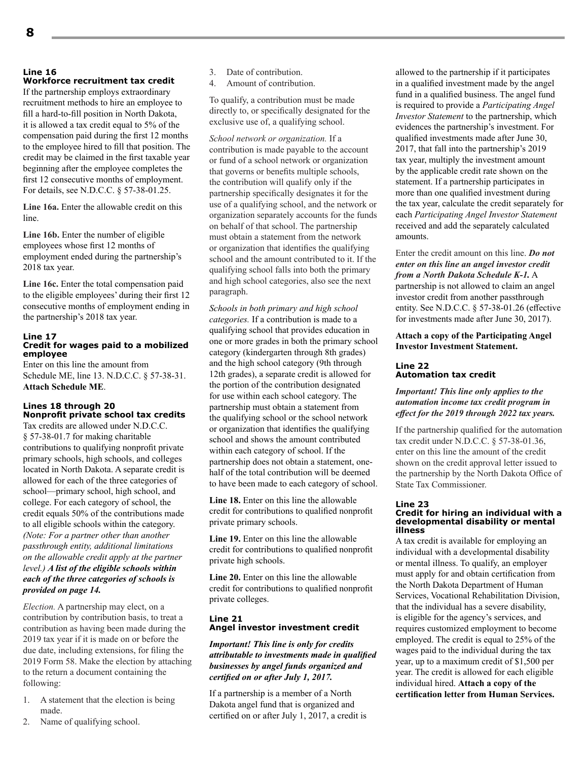#### **Line 16 Workforce recruitment tax credit**

If the partnership employs extraordinary recruitment methods to hire an employee to fill a hard-to-fill position in North Dakota, it is allowed a tax credit equal to 5% of the compensation paid during the first 12 months to the employee hired to fill that position. The credit may be claimed in the first taxable year beginning after the employee completes the first 12 consecutive months of employment. For details, see N.D.C.C. § 57-38-01.25.

**Line 16a.** Enter the allowable credit on this line.

**Line 16b.** Enter the number of eligible employees whose first 12 months of employment ended during the partnership's 2018 tax year.

**Line 16c.** Enter the total compensation paid to the eligible employees' during their first 12 consecutive months of employment ending in the partnership's 2018 tax year.

#### **Line 17 Credit for wages paid to a mobilized employee**

Enter on this line the amount from Schedule ME, line 13. N.D.C.C. § 57-38-31. **Attach Schedule ME**.

#### **Lines 18 through 20 Nonprofit private school tax credits**

Tax credits are allowed under N.D.C.C. § 57-38-01.7 for making charitable contributions to qualifying nonprofit private primary schools, high schools, and colleges located in North Dakota. A separate credit is allowed for each of the three categories of school—primary school, high school, and college. For each category of school, the credit equals 50% of the contributions made to all eligible schools within the category. *(Note: For a partner other than another passthrough entity, additional limitations on the allowable credit apply at the partner level.) A list of the eligible schools within each of the three categories of schools is provided on page 14.*

*Election.* A partnership may elect, on a contribution by contribution basis, to treat a contribution as having been made during the 2019 tax year if it is made on or before the due date, including extensions, for filing the 2019 Form 58. Make the election by attaching to the return a document containing the following:

- 1. A statement that the election is being made.
- 2. Name of qualifying school.
- 3. Date of contribution.
- 4. Amount of contribution.

To qualify, a contribution must be made directly to, or specifically designated for the exclusive use of, a qualifying school.

*School network or organization.* If a contribution is made payable to the account or fund of a school network or organization that governs or benefits multiple schools, the contribution will qualify only if the partnership specifically designates it for the use of a qualifying school, and the network or organization separately accounts for the funds on behalf of that school. The partnership must obtain a statement from the network or organization that identifies the qualifying school and the amount contributed to it. If the qualifying school falls into both the primary and high school categories, also see the next paragraph.

*Schools in both primary and high school categories.* If a contribution is made to a qualifying school that provides education in one or more grades in both the primary school category (kindergarten through 8th grades) and the high school category (9th through 12th grades), a separate credit is allowed for the portion of the contribution designated for use within each school category. The partnership must obtain a statement from the qualifying school or the school network or organization that identifies the qualifying school and shows the amount contributed within each category of school. If the partnership does not obtain a statement, onehalf of the total contribution will be deemed to have been made to each category of school.

**Line 18.** Enter on this line the allowable credit for contributions to qualified nonprofit private primary schools.

**Line 19.** Enter on this line the allowable credit for contributions to qualified nonprofit private high schools.

**Line 20.** Enter on this line the allowable credit for contributions to qualified nonprofit private colleges.

#### **Line 21 Angel investor investment credit**

*Important! This line is only for credits attributable to investments made in qualified businesses by angel funds organized and certified on or after July 1, 2017.*

If a partnership is a member of a North Dakota angel fund that is organized and certified on or after July 1, 2017, a credit is allowed to the partnership if it participates in a qualified investment made by the angel fund in a qualified business. The angel fund is required to provide a *Participating Angel Investor Statement* to the partnership, which evidences the partnership's investment. For qualified investments made after June 30, 2017, that fall into the partnership's 2019 tax year, multiply the investment amount by the applicable credit rate shown on the statement. If a partnership participates in more than one qualified investment during the tax year, calculate the credit separately for each *Participating Angel Investor Statement* received and add the separately calculated amounts.

Enter the credit amount on this line. *Do not enter on this line an angel investor credit from a North Dakota Schedule K-1.* A partnership is not allowed to claim an angel investor credit from another passthrough entity. See N.D.C.C. § 57-38-01.26 (effective for investments made after June 30, 2017).

**Attach a copy of the Participating Angel Investor Investment Statement.**

#### **Line 22 Automation tax credit**

#### *Important! This line only applies to the automation income tax credit program in effect for the 2019 through 2022 tax years.*

If the partnership qualified for the automation tax credit under N.D.C.C. § 57-38-01.36, enter on this line the amount of the credit shown on the credit approval letter issued to the partnership by the North Dakota Office of State Tax Commissioner.

#### **Line 23 Credit for hiring an individual with a developmental disability or mental illness**

A tax credit is available for employing an individual with a developmental disability or mental illness. To qualify, an employer must apply for and obtain certification from the North Dakota Department of Human Services, Vocational Rehabilitation Division, that the individual has a severe disability, is eligible for the agency's services, and requires customized employment to become employed. The credit is equal to 25% of the wages paid to the individual during the tax year, up to a maximum credit of \$1,500 per year. The credit is allowed for each eligible individual hired. **Attach a copy of the certification letter from Human Services.**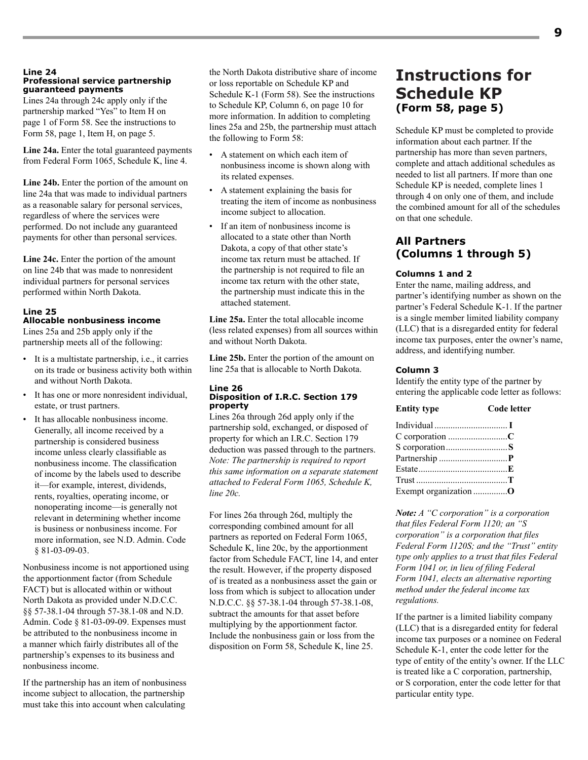#### **Line 24 Professional service partnership guaranteed payments**

Lines 24a through 24c apply only if the partnership marked "Yes" to Item H on page 1 of Form 58. See the instructions to Form 58, page 1, Item H, on page 5.

**Line 24a.** Enter the total guaranteed payments from Federal Form 1065, Schedule K, line 4.

**Line 24b.** Enter the portion of the amount on line 24a that was made to individual partners as a reasonable salary for personal services, regardless of where the services were performed. Do not include any guaranteed payments for other than personal services.

**Line 24c.** Enter the portion of the amount on line 24b that was made to nonresident individual partners for personal services performed within North Dakota.

#### **Line 25**

#### **Allocable nonbusiness income**

Lines 25a and 25b apply only if the partnership meets all of the following:

- It is a multistate partnership, i.e., it carries on its trade or business activity both within and without North Dakota.
- It has one or more nonresident individual, estate, or trust partners.
- It has allocable nonbusiness income. Generally, all income received by a partnership is considered business income unless clearly classifiable as nonbusiness income. The classification of income by the labels used to describe it—for example, interest, dividends, rents, royalties, operating income, or nonoperating income—is generally not relevant in determining whether income is business or nonbusiness income. For more information, see N.D. Admin. Code § 81-03-09-03.

Nonbusiness income is not apportioned using the apportionment factor (from Schedule FACT) but is allocated within or without North Dakota as provided under N.D.C.C. §§ 57-38.1-04 through 57-38.1-08 and N.D. Admin. Code § 81-03-09-09. Expenses must be attributed to the nonbusiness income in a manner which fairly distributes all of the partnership's expenses to its business and nonbusiness income.

If the partnership has an item of nonbusiness income subject to allocation, the partnership must take this into account when calculating

the North Dakota distributive share of income or loss reportable on Schedule KP and Schedule K-1 (Form 58). See the instructions to Schedule KP, Column 6, on page 10 for more information. In addition to completing lines 25a and 25b, the partnership must attach the following to Form 58:

- A statement on which each item of nonbusiness income is shown along with its related expenses.
- A statement explaining the basis for treating the item of income as nonbusiness income subject to allocation.
- If an item of nonbusiness income is allocated to a state other than North Dakota, a copy of that other state's income tax return must be attached. If the partnership is not required to file an income tax return with the other state, the partnership must indicate this in the attached statement.

**Line 25a.** Enter the total allocable income (less related expenses) from all sources within and without North Dakota.

**Line 25b.** Enter the portion of the amount on line 25a that is allocable to North Dakota.

#### **Line 26 Disposition of I.R.C. Section 179 property**

Lines 26a through 26d apply only if the partnership sold, exchanged, or disposed of property for which an I.R.C. Section 179 deduction was passed through to the partners. *Note: The partnership is required to report this same information on a separate statement attached to Federal Form 1065, Schedule K, line 20c.*

For lines 26a through 26d, multiply the corresponding combined amount for all partners as reported on Federal Form 1065, Schedule K, line 20c, by the apportionment factor from Schedule FACT, line 14, and enter the result. However, if the property disposed of is treated as a nonbusiness asset the gain or loss from which is subject to allocation under N.D.C.C. §§ 57-38.1-04 through 57-38.1-08, subtract the amounts for that asset before multiplying by the apportionment factor. Include the nonbusiness gain or loss from the disposition on Form 58, Schedule K, line 25.

# **Instructions for Schedule KP (Form 58, page 5)**

Schedule KP must be completed to provide information about each partner. If the partnership has more than seven partners, complete and attach additional schedules as needed to list all partners. If more than one Schedule KP is needed, complete lines 1 through 4 on only one of them, and include the combined amount for all of the schedules on that one schedule.

#### **All Partners (Columns 1 through 5)**

#### **Columns 1 and 2**

Enter the name, mailing address, and partner's identifying number as shown on the partner's Federal Schedule K-1. If the partner is a single member limited liability company (LLC) that is a disregarded entity for federal income tax purposes, enter the owner's name, address, and identifying number.

#### **Column 3**

Identify the entity type of the partner by entering the applicable code letter as follows:

| <b>Entity type</b> | Code letter |
|--------------------|-------------|
|                    |             |
|                    |             |
|                    |             |
|                    |             |
|                    |             |
|                    |             |
|                    |             |

*Note: A "C corporation" is a corporation that files Federal Form 1120; an "S corporation" is a corporation that files Federal Form 1120S; and the "Trust" entity type only applies to a trust that files Federal Form 1041 or, in lieu of filing Federal Form 1041, elects an alternative reporting method under the federal income tax regulations.*

If the partner is a limited liability company (LLC) that is a disregarded entity for federal income tax purposes or a nominee on Federal Schedule K-1, enter the code letter for the type of entity of the entity's owner. If the LLC is treated like a C corporation, partnership, or S corporation, enter the code letter for that particular entity type.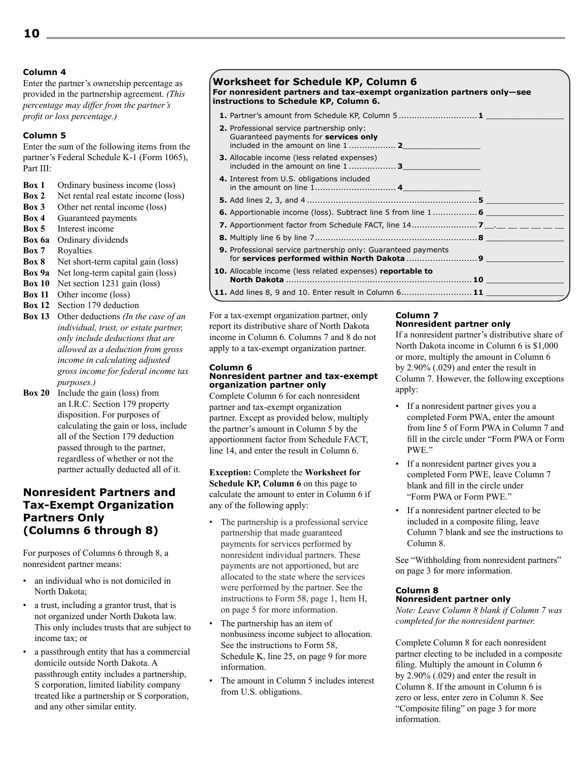#### **Column 4**

Enter the partner's ownership percentage as provided in the partnership agreement. *(This percentage may differ from the partner's profit or loss percentage.)*

#### **Column 5**

Enter the sum of the following items from the partner's Federal Schedule K-1 (Form 1065), Part III:

- **Box 1** Ordinary business income (loss)
- **Box 2** Net rental real estate income (loss)
- **Box 3** Other net rental income (loss)
- **Box 4** Guaranteed payments
- **Box 5** Interest income
- **Box 6a** Ordinary dividends
- **Box 7** Royalties
- **Box 8** Net short-term capital gain (loss)
- **Box 9a** Net long-term capital gain (loss)
- **Box 10** Net section 1231 gain (loss)
- **Box 11** Other income (loss)
- **Box 12** Section 179 deduction
- **Box 13** Other deductions *(In the case of an individual, trust, or estate partner, only include deductions that are allowed as a deduction from gross income in calculating adjusted gross income for federal income tax purposes.)*
- **Box 20** Include the gain (loss) from an I.R.C. Section 179 property disposition. For purposes of calculating the gain or loss, include all of the Section 179 deduction passed through to the partner, regardless of whether or not the partner actually deducted all of it.

#### **Nonresident Partners and Tax-Exempt Organization Partners Only (Columns 6 through 8)**

For purposes of Columns 6 through 8, a nonresident partner means:

- an individual who is not domiciled in North Dakota;
- a trust, including a grantor trust, that is not organized under North Dakota law. This only includes trusts that are subject to income tax; or
- a passthrough entity that has a commercial domicile outside North Dakota. A passthrough entity includes a partnership, S corporation, limited liability company treated like a partnership or S corporation, and any other similar entity.

#### **Worksheet for Schedule KP, Column 6 For nonresident partners and tax-exempt organization partners only—see instructions to Schedule KP, Column 6.**

| <b>1.</b> Partner's amount from Schedule KP, Column 5 1                                                                   |  |
|---------------------------------------------------------------------------------------------------------------------------|--|
| 2. Professional service partnership only:<br>Guaranteed payments for services only<br>included in the amount on line 1  2 |  |
| <b>3.</b> Allocable income (less related expenses)<br>included in the amount on line 1 3                                  |  |
| 4. Interest from U.S. obligations included                                                                                |  |
|                                                                                                                           |  |
| <b>6.</b> Apportionable income (loss). Subtract line 5 from line 1 6                                                      |  |
|                                                                                                                           |  |
|                                                                                                                           |  |
| 9. Professional service partnership only: Guaranteed payments                                                             |  |
| <b>10.</b> Allocable income (less related expenses) reportable to                                                         |  |
|                                                                                                                           |  |

For a tax-exempt organization partner, only report its distributive share of North Dakota income in Column 6. Columns 7 and 8 do not apply to a tax-exempt organization partner.

#### **Column 6 Nonresident partner and tax-exempt organization partner only**

Complete Column 6 for each nonresident partner and tax-exempt organization partner. Except as provided below, multiply the partner's amount in Column 5 by the apportionment factor from Schedule FACT, line 14, and enter the result in Column 6.

**Exception:** Complete the **Worksheet for Schedule KP, Column 6** on this page to calculate the amount to enter in Column 6 if any of the following apply:

- The partnership is a professional service partnership that made guaranteed payments for services performed by nonresident individual partners. These payments are not apportioned, but are allocated to the state where the services were performed by the partner. See the instructions to Form 58, page 1, Item H, on page 5 for more information.
- The partnership has an item of nonbusiness income subject to allocation. See the instructions to Form 58, Schedule K, line 25, on page 9 for more information.
- The amount in Column 5 includes interest from U.S. obligations.

#### **Column 7 Nonresident partner only**

If a nonresident partner's distributive share of North Dakota income in Column 6 is \$1,000 or more, multiply the amount in Column 6 by 2.90% (.029) and enter the result in Column 7. However, the following exceptions apply:

- If a nonresident partner gives you a completed Form PWA, enter the amount from line 5 of Form PWA in Column 7 and fill in the circle under "Form PWA or Form PWE."
- If a nonresident partner gives you a completed Form PWE, leave Column 7 blank and fill in the circle under "Form PWA or Form PWE."
- If a nonresident partner elected to be included in a composite filing, leave Column 7 blank and see the instructions to Column 8.

See "Withholding from nonresident partners" on page 3 for more information.

#### **Column 8 Nonresident partner only**

*Note: Leave Column 8 blank if Column 7 was completed for the nonresident partner.*

Complete Column 8 for each nonresident partner electing to be included in a composite filing. Multiply the amount in Column 6 by 2.90% (.029) and enter the result in Column 8. If the amount in Column 6 is zero or less, enter zero in Column 8. See "Composite filing" on page 3 for more information.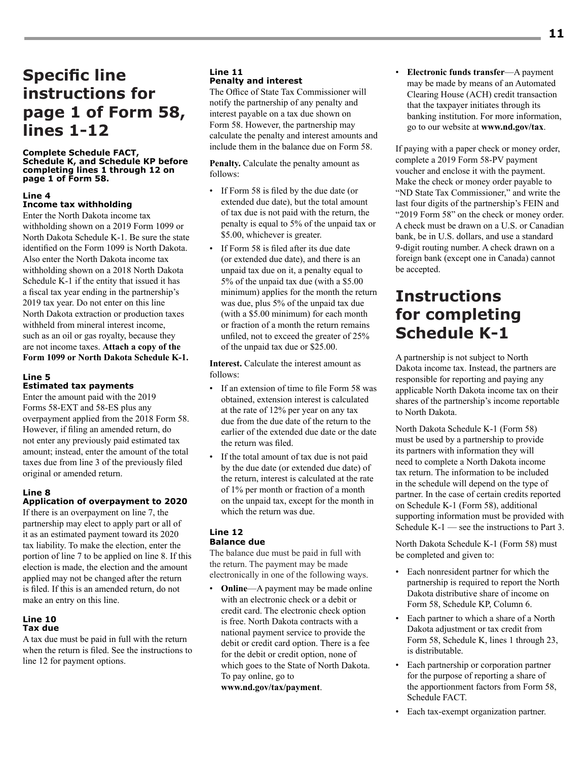# **Specific line instructions for page 1 of Form 58, lines 1-12**

#### **Complete Schedule FACT, Schedule K, and Schedule KP before completing lines 1 through 12 on page 1 of Form 58.**

#### **Line 4 Income tax withholding**

Enter the North Dakota income tax withholding shown on a 2019 Form 1099 or North Dakota Schedule K-1. Be sure the state identified on the Form 1099 is North Dakota. Also enter the North Dakota income tax withholding shown on a 2018 North Dakota Schedule K-1 if the entity that issued it has a fiscal tax year ending in the partnership's 2019 tax year. Do not enter on this line North Dakota extraction or production taxes withheld from mineral interest income, such as an oil or gas royalty, because they are not income taxes. **Attach a copy of the Form 1099 or North Dakota Schedule K-1.**

#### **Line 5**

#### **Estimated tax payments**

Enter the amount paid with the 2019 Forms 58-EXT and 58-ES plus any overpayment applied from the 2018 Form 58. However, if filing an amended return, do not enter any previously paid estimated tax amount; instead, enter the amount of the total taxes due from line 3 of the previously filed original or amended return.

#### **Line 8**

#### **Application of overpayment to 2020**

If there is an overpayment on line 7, the partnership may elect to apply part or all of it as an estimated payment toward its 2020 tax liability. To make the election, enter the portion of line 7 to be applied on line 8. If this election is made, the election and the amount applied may not be changed after the return is filed. If this is an amended return, do not make an entry on this line.

#### **Line 10 Tax due**

A tax due must be paid in full with the return when the return is filed. See the instructions to line 12 for payment options.

#### **Line 11 Penalty and interest**

The Office of State Tax Commissioner will notify the partnership of any penalty and interest payable on a tax due shown on Form 58. However, the partnership may calculate the penalty and interest amounts and include them in the balance due on Form 58.

**Penalty.** Calculate the penalty amount as follows:

- If Form 58 is filed by the due date (or extended due date), but the total amount of tax due is not paid with the return, the penalty is equal to 5% of the unpaid tax or \$5.00, whichever is greater.
- If Form 58 is filed after its due date (or extended due date), and there is an unpaid tax due on it, a penalty equal to 5% of the unpaid tax due (with a \$5.00 minimum) applies for the month the return was due, plus 5% of the unpaid tax due (with a \$5.00 minimum) for each month or fraction of a month the return remains unfiled, not to exceed the greater of 25% of the unpaid tax due or \$25.00.

**Interest.** Calculate the interest amount as follows:

- If an extension of time to file Form 58 was obtained, extension interest is calculated at the rate of 12% per year on any tax due from the due date of the return to the earlier of the extended due date or the date the return was filed.
- If the total amount of tax due is not paid by the due date (or extended due date) of the return, interest is calculated at the rate of 1% per month or fraction of a month on the unpaid tax, except for the month in which the return was due.

#### **Line 12 Balance due**

The balance due must be paid in full with the return. The payment may be made electronically in one of the following ways.

**Online**—A payment may be made online with an electronic check or a debit or credit card. The electronic check option is free. North Dakota contracts with a national payment service to provide the debit or credit card option. There is a fee for the debit or credit option, none of which goes to the State of North Dakota. To pay online, go to

**www.nd.gov/tax/payment**.

• **Electronic funds transfer**—A payment may be made by means of an Automated Clearing House (ACH) credit transaction that the taxpayer initiates through its banking institution. For more information, go to our website at **www.nd.gov/tax**.

If paying with a paper check or money order, complete a 2019 Form 58-PV payment voucher and enclose it with the payment. Make the check or money order payable to "ND State Tax Commissioner," and write the last four digits of the partnership's FEIN and "2019 Form 58" on the check or money order. A check must be drawn on a U.S. or Canadian bank, be in U.S. dollars, and use a standard 9-digit routing number. A check drawn on a foreign bank (except one in Canada) cannot be accepted.

# **Instructions for completing Schedule K-1**

A partnership is not subject to North Dakota income tax. Instead, the partners are responsible for reporting and paying any applicable North Dakota income tax on their shares of the partnership's income reportable to North Dakota.

North Dakota Schedule K-1 (Form 58) must be used by a partnership to provide its partners with information they will need to complete a North Dakota income tax return. The information to be included in the schedule will depend on the type of partner. In the case of certain credits reported on Schedule K-1 (Form 58), additional supporting information must be provided with Schedule  $K-1$  — see the instructions to Part 3.

North Dakota Schedule K-1 (Form 58) must be completed and given to:

- Each nonresident partner for which the partnership is required to report the North Dakota distributive share of income on Form 58, Schedule KP, Column 6.
- Each partner to which a share of a North Dakota adjustment or tax credit from Form 58, Schedule K, lines 1 through 23, is distributable.
- Each partnership or corporation partner for the purpose of reporting a share of the apportionment factors from Form 58, Schedule FACT.
- Each tax-exempt organization partner.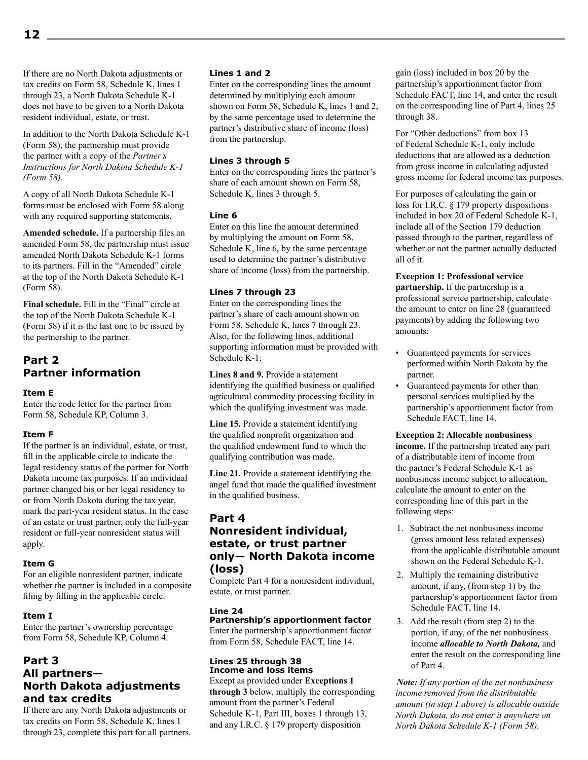If there are no North Dakota adjustments or tax credits on Form 58, Schedule K, lines 1 through 23, a North Dakota Schedule K-1 does not have to be given to a North Dakota resident individual, estate, or trust.

In addition to the North Dakota Schedule K-1 (Form 58), the partnership must provide the partner with a copy of the *Partner's Instructions for North Dakota Schedule K-1 (Form 58)*.

A copy of all North Dakota Schedule K-1 forms must be enclosed with Form 58 along with any required supporting statements.

**Amended schedule.** If a partnership files an amended Form 58, the partnership must issue amended North Dakota Schedule K-1 forms to its partners. Fill in the "Amended" circle at the top of the North Dakota Schedule K-1 (Form 58).

**Final schedule.** Fill in the "Final" circle at the top of the North Dakota Schedule K-1 (Form 58) if it is the last one to be issued by the partnership to the partner.

#### **Part 2 Partner information**

#### **Item E**

Enter the code letter for the partner from Form 58, Schedule KP, Column 3.

#### **Item F**

If the partner is an individual, estate, or trust, fill in the applicable circle to indicate the legal residency status of the partner for North Dakota income tax purposes. If an individual partner changed his or her legal residency to or from North Dakota during the tax year, mark the part-year resident status. In the case of an estate or trust partner, only the full-year resident or full-year nonresident status will apply.

#### **Item G**

For an eligible nonresident partner, indicate whether the partner is included in a composite filing by filling in the applicable circle.

#### **Item I**

Enter the partner's ownership percentage from Form 58, Schedule KP, Column 4.

#### **Part 3 All partners— North Dakota adjustments and tax credits**

If there are any North Dakota adjustments or tax credits on Form 58, Schedule K, lines 1 through 23, complete this part for all partners.

#### **Lines 1 and 2**

Enter on the corresponding lines the amount determined by multiplying each amount shown on Form 58, Schedule K, lines 1 and 2, by the same percentage used to determine the partner's distributive share of income (loss) from the partnership.

#### **Lines 3 through 5**

Enter on the corresponding lines the partner's share of each amount shown on Form 58, Schedule K, lines 3 through 5.

#### **Line 6**

Enter on this line the amount determined by multiplying the amount on Form 58, Schedule K, line 6, by the same percentage used to determine the partner's distributive share of income (loss) from the partnership.

#### **Lines 7 through 23**

Enter on the corresponding lines the partner's share of each amount shown on Form 58, Schedule K, lines 7 through 23. Also, for the following lines, additional supporting information must be provided with Schedule  $K-1$ <sup>.</sup>

**Lines 8 and 9.** Provide a statement identifying the qualified business or qualified agricultural commodity processing facility in which the qualifying investment was made.

**Line 15.** Provide a statement identifying the qualified nonprofit organization and the qualified endowment fund to which the qualifying contribution was made.

**Line 21.** Provide a statement identifying the angel fund that made the qualified investment in the qualified business.

#### **Part 4 Nonresident individual, estate, or trust partner only— North Dakota income (loss)**

Complete Part 4 for a nonresident individual, estate, or trust partner.

#### **Line 24**

**Partnership's apportionment factor**

Enter the partnership's apportionment factor from Form 58, Schedule FACT, line 14.

#### **Lines 25 through 38 Income and loss items**

Except as provided under **Exceptions 1 through 3** below, multiply the corresponding amount from the partner's Federal Schedule K-1, Part III, boxes 1 through 13, and any I.R.C. § 179 property disposition

gain (loss) included in box 20 by the partnership's apportionment factor from Schedule FACT, line 14, and enter the result on the corresponding line of Part 4, lines 25 through 38.

For "Other deductions" from box 13 of Federal Schedule K-1, only include deductions that are allowed as a deduction from gross income in calculating adjusted gross income for federal income tax purposes.

For purposes of calculating the gain or loss for I.R.C. § 179 property dispositions included in box 20 of Federal Schedule K-1, include all of the Section 179 deduction passed through to the partner, regardless of whether or not the partner actually deducted all of it.

**Exception 1: Professional service partnership.** If the partnership is a professional service partnership, calculate the amount to enter on line 28 (guaranteed payments) by adding the following two amounts:

- Guaranteed payments for services performed within North Dakota by the partner.
- Guaranteed payments for other than personal services multiplied by the partnership's apportionment factor from Schedule FACT, line 14.

#### **Exception 2: Allocable nonbusiness**

**income.** If the partnership treated any part of a distributable item of income from the partner's Federal Schedule K-1 as nonbusiness income subject to allocation, calculate the amount to enter on the corresponding line of this part in the following steps:

- 1. Subtract the net nonbusiness income (gross amount less related expenses) from the applicable distributable amount shown on the Federal Schedule K-1.
- 2. Multiply the remaining distributive amount, if any, (from step 1) by the partnership's apportionment factor from Schedule FACT, line 14.
- 3. Add the result (from step 2) to the portion, if any, of the net nonbusiness income *allocable to North Dakota,* and enter the result on the corresponding line of Part 4.

*Note: If any portion of the net nonbusiness income removed from the distributable amount (in step 1 above) is allocable outside North Dakota, do not enter it anywhere on North Dakota Schedule K-1 (Form 58).*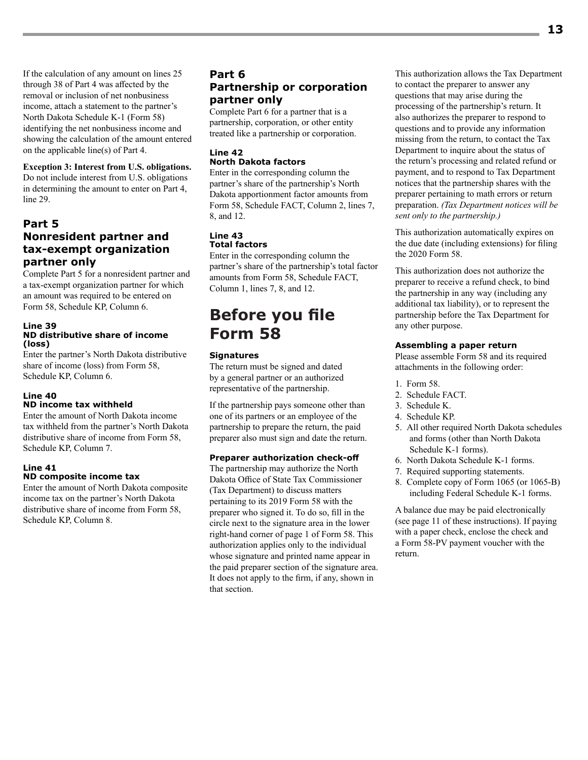If the calculation of any amount on lines 25 through 38 of Part 4 was affected by the removal or inclusion of net nonbusiness income, attach a statement to the partner's North Dakota Schedule K-1 (Form 58) identifying the net nonbusiness income and showing the calculation of the amount entered on the applicable line(s) of Part 4.

#### **Exception 3: Interest from U.S. obligations.**

Do not include interest from U.S. obligations in determining the amount to enter on Part 4, line 29.

#### **Part 5 Nonresident partner and tax-exempt organization partner only**

Complete Part 5 for a nonresident partner and a tax-exempt organization partner for which an amount was required to be entered on Form 58, Schedule KP, Column 6.

#### **Line 39 ND distributive share of income (loss)**

Enter the partner's North Dakota distributive share of income (loss) from Form 58, Schedule KP, Column 6.

#### **Line 40 ND income tax withheld**

Enter the amount of North Dakota income tax withheld from the partner's North Dakota distributive share of income from Form 58, Schedule KP, Column 7.

#### **Line 41 ND composite income tax**

Enter the amount of North Dakota composite income tax on the partner's North Dakota distributive share of income from Form 58, Schedule KP, Column 8.

#### **Part 6 Partnership or corporation partner only**

Complete Part 6 for a partner that is a partnership, corporation, or other entity treated like a partnership or corporation.

#### **Line 42 North Dakota factors**

Enter in the corresponding column the partner's share of the partnership's North Dakota apportionment factor amounts from Form 58, Schedule FACT, Column 2, lines 7, 8, and 12.

#### **Line 43 Total factors**

Enter in the corresponding column the partner's share of the partnership's total factor amounts from Form 58, Schedule FACT, Column 1, lines 7, 8, and 12.

# **Before you file Form 58**

#### **Signatures**

The return must be signed and dated by a general partner or an authorized representative of the partnership.

If the partnership pays someone other than one of its partners or an employee of the partnership to prepare the return, the paid preparer also must sign and date the return.

#### **Preparer authorization check-off**

The partnership may authorize the North Dakota Office of State Tax Commissioner (Tax Department) to discuss matters pertaining to its 2019 Form 58 with the preparer who signed it. To do so, fill in the circle next to the signature area in the lower right-hand corner of page 1 of Form 58. This authorization applies only to the individual whose signature and printed name appear in the paid preparer section of the signature area. It does not apply to the firm, if any, shown in that section.

This authorization allows the Tax Department to contact the preparer to answer any questions that may arise during the processing of the partnership's return. It also authorizes the preparer to respond to questions and to provide any information missing from the return, to contact the Tax Department to inquire about the status of the return's processing and related refund or payment, and to respond to Tax Department notices that the partnership shares with the preparer pertaining to math errors or return preparation. *(Tax Department notices will be sent only to the partnership.)*

This authorization automatically expires on the due date (including extensions) for filing the 2020 Form 58.

This authorization does not authorize the preparer to receive a refund check, to bind the partnership in any way (including any additional tax liability), or to represent the partnership before the Tax Department for any other purpose.

#### **Assembling a paper return**

Please assemble Form 58 and its required attachments in the following order:

- 1. Form 58.
- 2. Schedule FACT.
- 3. Schedule K.
- 4. Schedule KP.
- 5. All other required North Dakota schedules and forms (other than North Dakota Schedule K-1 forms).
- 6. North Dakota Schedule K-1 forms.
- 7. Required supporting statements.
- 8. Complete copy of Form 1065 (or 1065-B) including Federal Schedule K-1 forms.

A balance due may be paid electronically (see page 11 of these instructions). If paying with a paper check, enclose the check and a Form 58-PV payment voucher with the return.